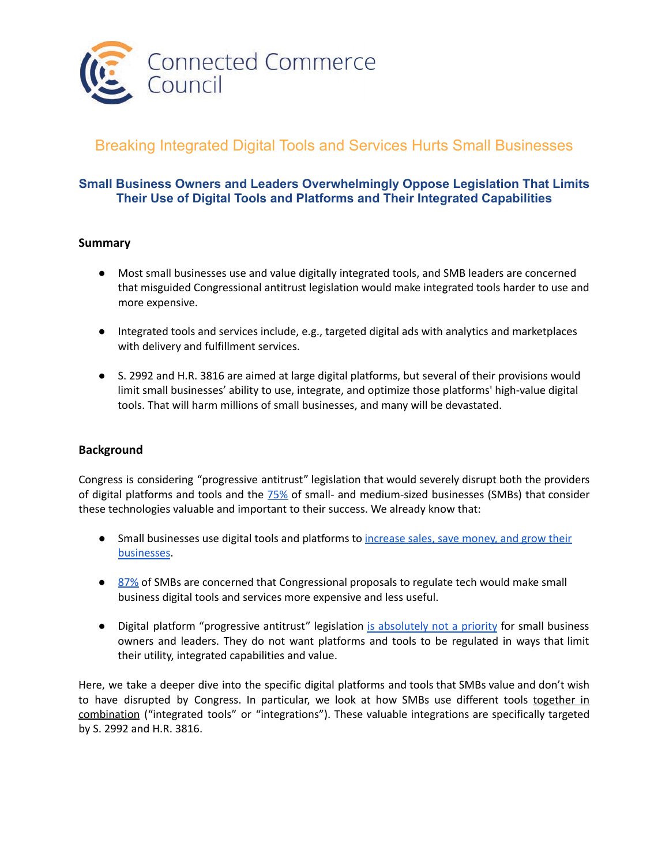

# Breaking Integrated Digital Tools and Services Hurts Small Businesses

# **Small Business Owners and Leaders Overwhelmingly Oppose Legislation That Limits Their Use of Digital Tools and Platforms and Their Integrated Capabilities**

## **Summary**

- Most small businesses use and value digitally integrated tools, and SMB leaders are concerned that misguided Congressional antitrust legislation would make integrated tools harder to use and more expensive.
- Integrated tools and services include, e.g., targeted digital ads with analytics and marketplaces with delivery and fulfillment services.
- S. 2992 and H.R. 3816 are aimed at large digital platforms, but several of their provisions would limit small businesses' ability to use, integrate, and optimize those platforms' high-value digital tools. That will harm millions of small businesses, and many will be devastated.

## **Background**

Congress is considering "progressive antitrust" legislation that would severely disrupt both the providers of digital platforms and tools and the [75%](https://connectedcouncil.org/wp-content/uploads/2022/06/SMB-Leaders-Oppose-More-Federal-Regulations-June-2022.pdf) of small- and medium-sized businesses (SMBs) that consider these technologies valuable and important to their success. We already know that:

- **•** Small businesses use digital tools and platforms to [increase sales, save money, and grow their](https://connectedcouncil.org/wp-content/uploads/2022/05/Small-Businesses-Value-Online-Tools-and-Marketplaces-FINAL-May-2022.pdf) [businesses.](https://connectedcouncil.org/wp-content/uploads/2022/05/Small-Businesses-Value-Online-Tools-and-Marketplaces-FINAL-May-2022.pdf)
- [87%](https://connectedcouncil.org/new-research-small-businesses-believe-congress-is-focusing-on-wrong-issues/) of SMBs are concerned that Congressional proposals to regulate tech would make small business digital tools and services more expensive and less useful.
- Digital platform "progressive antitrust" legislation [is absolutely not a priority](https://connectedcouncil.org/wp-content/uploads/2022/05/Congress-isnt-Aligned-with-Small-Business-Priorities.pdf) for small business owners and leaders. They do not want platforms and tools to be regulated in ways that limit their utility, integrated capabilities and value.

Here, we take a deeper dive into the specific digital platforms and tools that SMBs value and don't wish to have disrupted by Congress. In particular, we look at how SMBs use different tools together in combination ("integrated tools" or "integrations"). These valuable integrations are specifically targeted by S. 2992 and H.R. 3816.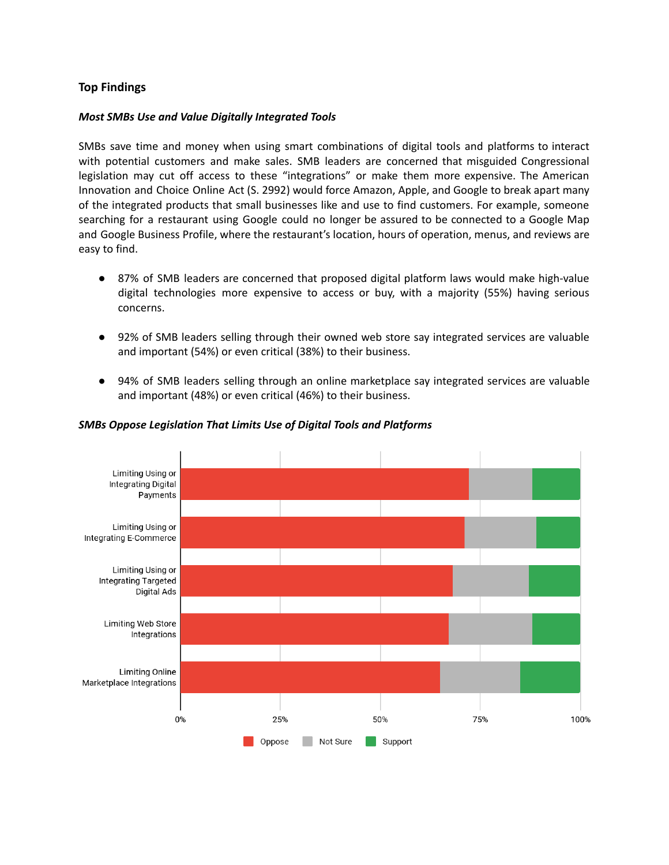## **Top Findings**

#### *Most SMBs Use and Value Digitally Integrated Tools*

SMBs save time and money when using smart combinations of digital tools and platforms to interact with potential customers and make sales. SMB leaders are concerned that misguided Congressional legislation may cut off access to these "integrations" or make them more expensive. The American Innovation and Choice Online Act (S. 2992) would force Amazon, Apple, and Google to break apart many of the integrated products that small businesses like and use to find customers. For example, someone searching for a restaurant using Google could no longer be assured to be connected to a Google Map and Google Business Profile, where the restaurant's location, hours of operation, menus, and reviews are easy to find.

- 87% of SMB leaders are concerned that proposed digital platform laws would make high-value digital technologies more expensive to access or buy, with a majority (55%) having serious concerns.
- 92% of SMB leaders selling through their owned web store say integrated services are valuable and important (54%) or even critical (38%) to their business.
- 94% of SMB leaders selling through an online marketplace say integrated services are valuable and important (48%) or even critical (46%) to their business.



#### *SMBs Oppose Legislation That Limits Use of Digital Tools and Platforms*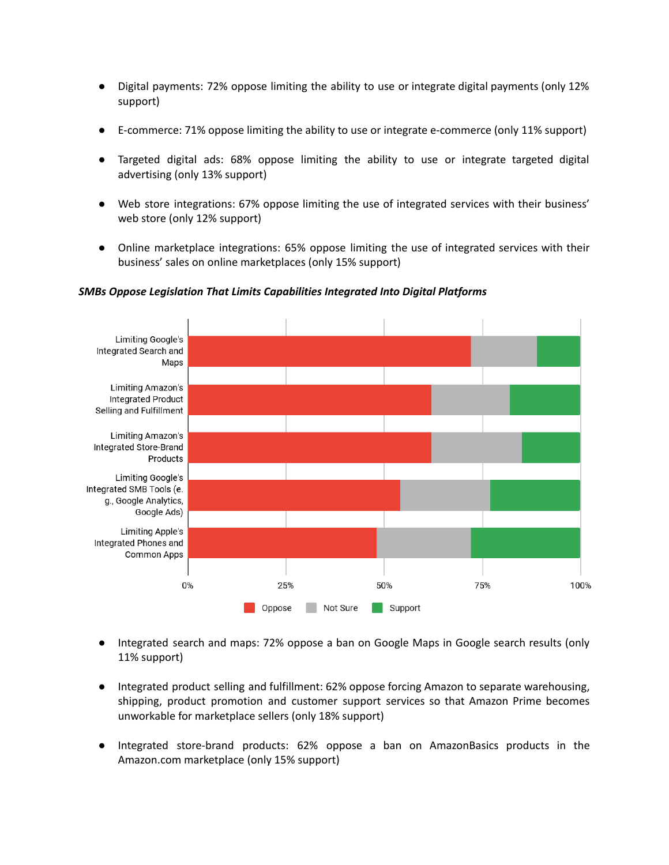- Digital payments: 72% oppose limiting the ability to use or integrate digital payments (only 12% support)
- E-commerce: 71% oppose limiting the ability to use or integrate e-commerce (only 11% support)
- Targeted digital ads: 68% oppose limiting the ability to use or integrate targeted digital advertising (only 13% support)
- Web store integrations: 67% oppose limiting the use of integrated services with their business' web store (only 12% support)
- Online marketplace integrations: 65% oppose limiting the use of integrated services with their business' sales on online marketplaces (only 15% support)



#### *SMBs Oppose Legislation That Limits Capabilities Integrated Into Digital Platforms*

- Integrated search and maps: 72% oppose a ban on Google Maps in Google search results (only 11% support)
- Integrated product selling and fulfillment: 62% oppose forcing Amazon to separate warehousing, shipping, product promotion and customer support services so that Amazon Prime becomes unworkable for marketplace sellers (only 18% support)
- Integrated store-brand products: 62% oppose a ban on AmazonBasics products in the Amazon.com marketplace (only 15% support)